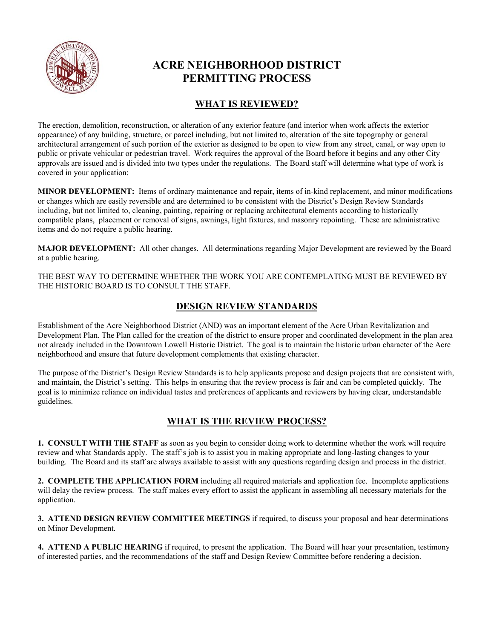

# **ACRE NEIGHBORHOOD DISTRICT PERMITTING PROCESS**

## **WHAT IS REVIEWED?**

The erection, demolition, reconstruction, or alteration of any exterior feature (and interior when work affects the exterior appearance) of any building, structure, or parcel including, but not limited to, alteration of the site topography or general architectural arrangement of such portion of the exterior as designed to be open to view from any street, canal, or way open to public or private vehicular or pedestrian travel. Work requires the approval of the Board before it begins and any other City approvals are issued and is divided into two types under the regulations. The Board staff will determine what type of work is covered in your application:

**MINOR DEVELOPMENT:** Items of ordinary maintenance and repair, items of in-kind replacement, and minor modifications or changes which are easily reversible and are determined to be consistent with the District's Design Review Standards including, but not limited to, cleaning, painting, repairing or replacing architectural elements according to historically compatible plans, placement or removal of signs, awnings, light fixtures, and masonry repointing. These are administrative items and do not require a public hearing.

**MAJOR DEVELOPMENT:** All other changes. All determinations regarding Major Development are reviewed by the Board at a public hearing.

THE BEST WAY TO DETERMINE WHETHER THE WORK YOU ARE CONTEMPLATING MUST BE REVIEWED BY THE HISTORIC BOARD IS TO CONSULT THE STAFF.

## **DESIGN REVIEW STANDARDS**

Establishment of the Acre Neighborhood District (AND) was an important element of the Acre Urban Revitalization and Development Plan. The Plan called for the creation of the district to ensure proper and coordinated development in the plan area not already included in the Downtown Lowell Historic District. The goal is to maintain the historic urban character of the Acre neighborhood and ensure that future development complements that existing character.

The purpose of the District's Design Review Standards is to help applicants propose and design projects that are consistent with, and maintain, the District's setting. This helps in ensuring that the review process is fair and can be completed quickly. The goal is to minimize reliance on individual tastes and preferences of applicants and reviewers by having clear, understandable guidelines.

#### **WHAT IS THE REVIEW PROCESS?**

**1. CONSULT WITH THE STAFF** as soon as you begin to consider doing work to determine whether the work will require review and what Standards apply. The staff's job is to assist you in making appropriate and long-lasting changes to your building. The Board and its staff are always available to assist with any questions regarding design and process in the district.

**2. COMPLETE THE APPLICATION FORM** including all required materials and application fee. Incomplete applications will delay the review process. The staff makes every effort to assist the applicant in assembling all necessary materials for the application.

**3. ATTEND DESIGN REVIEW COMMITTEE MEETINGS** if required, to discuss your proposal and hear determinations on Minor Development.

**4. ATTEND A PUBLIC HEARING** if required, to present the application. The Board will hear your presentation, testimony of interested parties, and the recommendations of the staff and Design Review Committee before rendering a decision.